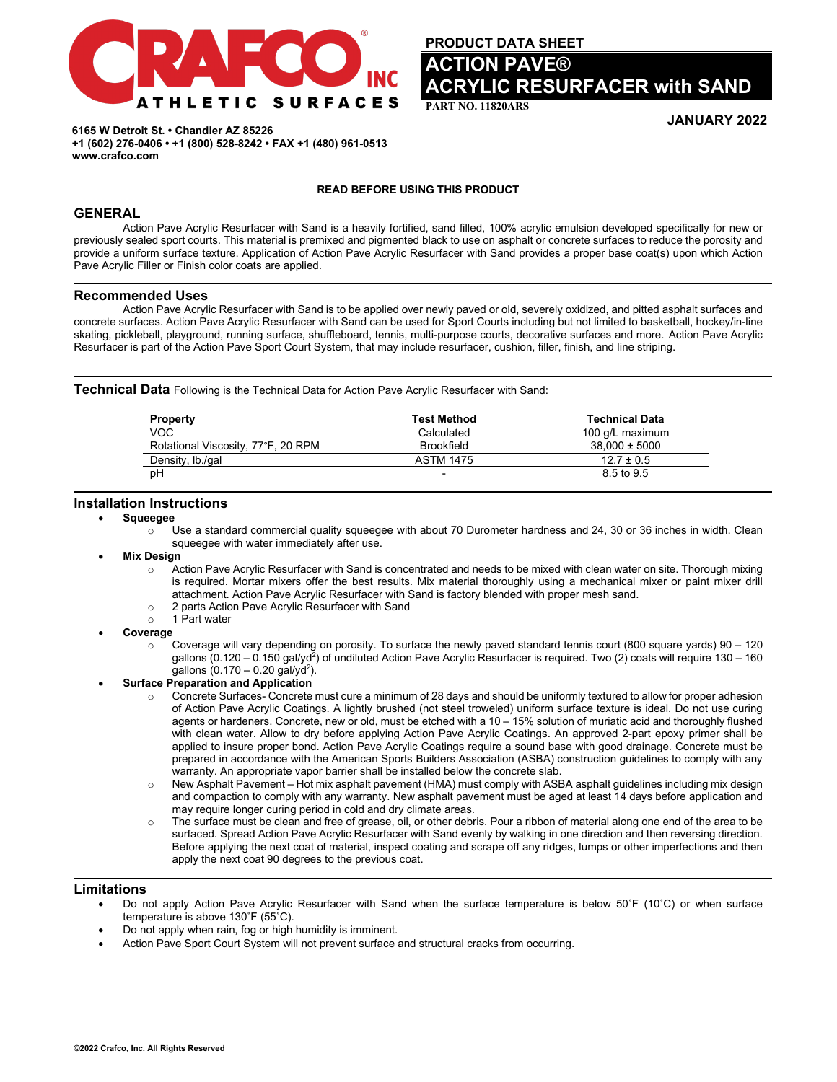

**PRODUCT DATA SHEET** 

# **ON PAVE® IC RESURFACER with SAND**

**PART NO. 11820ARS** 

**JANUARY 2022**

**6165 W Detroit St. • Chandler AZ 85226 +1 (602) 276-0406 • +1 (800) 528-8242 • FAX +1 (480) 961-0513 www.crafco.com**

# **READ BEFORE USING THIS PRODUCT**

# **GENERAL**

Action Pave Acrylic Resurfacer with Sand is a heavily fortified, sand filled, 100% acrylic emulsion developed specifically for new or previously sealed sport courts. This material is premixed and pigmented black to use on asphalt or concrete surfaces to reduce the porosity and provide a uniform surface texture. Application of Action Pave Acrylic Resurfacer with Sand provides a proper base coat(s) upon which Action Pave Acrylic Filler or Finish color coats are applied.

### **Recommended Uses**

Action Pave Acrylic Resurfacer with Sand is to be applied over newly paved or old, severely oxidized, and pitted asphalt surfaces and concrete surfaces. Action Pave Acrylic Resurfacer with Sand can be used for Sport Courts including but not limited to basketball, hockey/in-line skating, pickleball, playground, running surface, shuffleboard, tennis, multi-purpose courts, decorative surfaces and more. Action Pave Acrylic Resurfacer is part of the Action Pave Sport Court System, that may include resurfacer, cushion, filler, finish, and line striping.

**Technical Data** Following is the Technical Data for Action Pave Acrylic Resurfacer with Sand:

| <b>Property</b>                    | <b>Test Method</b>       | <b>Technical Data</b> |
|------------------------------------|--------------------------|-----------------------|
| VOC                                | Calculated               | 100 g/L maximum       |
| Rotational Viscosity, 77°F, 20 RPM | <b>Brookfield</b>        | $38.000 \pm 5000$     |
| Density, Ib./gal                   | <b>ASTM 1475</b>         | $12.7 \pm 0.5$        |
| рH                                 | $\overline{\phantom{0}}$ | 8.5 to 9.5            |

# **Installation Instructions**

• **Squeegee**

- o Use a standard commercial quality squeegee with about 70 Durometer hardness and 24, 30 or 36 inches in width. Clean squeegee with water immediately after use.
- **Mix Design** 
	- o Action Pave Acrylic Resurfacer with Sand is concentrated and needs to be mixed with clean water on site. Thorough mixing is required. Mortar mixers offer the best results. Mix material thoroughly using a mechanical mixer or paint mixer drill attachment. Action Pave Acrylic Resurfacer with Sand is factory blended with proper mesh sand.
	- 2 parts Action Pave Acrylic Resurfacer with Sand<br>○ 1 Part water
	- 1 Part water
- **Coverage**
	- Coverage will vary depending on porosity. To surface the newly paved standard tennis court (800 square yards) 90 120 gallons (0.120 – 0.150 gal/yd<sup>2</sup>) of undiluted Action Pave Acrylic Resurfacer is required. Two (2) coats will require 130 – 160 gallons (0.170 – 0.20 gal/yd<sup>2</sup>).
- **Surface Preparation and Application**
	- $\circ$  Concrete Surfaces- Concrete must cure a minimum of 28 days and should be uniformly textured to allow for proper adhesion of Action Pave Acrylic Coatings. A lightly brushed (not steel troweled) uniform surface texture is ideal. Do not use curing agents or hardeners. Concrete, new or old, must be etched with a 10 – 15% solution of muriatic acid and thoroughly flushed with clean water. Allow to dry before applying Action Pave Acrylic Coatings. An approved 2-part epoxy primer shall be applied to insure proper bond. Action Pave Acrylic Coatings require a sound base with good drainage. Concrete must be prepared in accordance with the American Sports Builders Association (ASBA) construction guidelines to comply with any warranty. An appropriate vapor barrier shall be installed below the concrete slab.
	- o New Asphalt Pavement Hot mix asphalt pavement (HMA) must comply with ASBA asphalt guidelines including mix design and compaction to comply with any warranty. New asphalt pavement must be aged at least 14 days before application and may require longer curing period in cold and dry climate areas.
	- $\circ$  The surface must be clean and free of grease, oil, or other debris. Pour a ribbon of material along one end of the area to be surfaced. Spread Action Pave Acrylic Resurfacer with Sand evenly by walking in one direction and then reversing direction. Before applying the next coat of material, inspect coating and scrape off any ridges, lumps or other imperfections and then apply the next coat 90 degrees to the previous coat.

# **Limitations**

- Do not apply Action Pave Acrylic Resurfacer with Sand when the surface temperature is below 50˚F (10˚C) or when surface temperature is above 130˚F (55˚C).
- Do not apply when rain, fog or high humidity is imminent.
- Action Pave Sport Court System will not prevent surface and structural cracks from occurring.